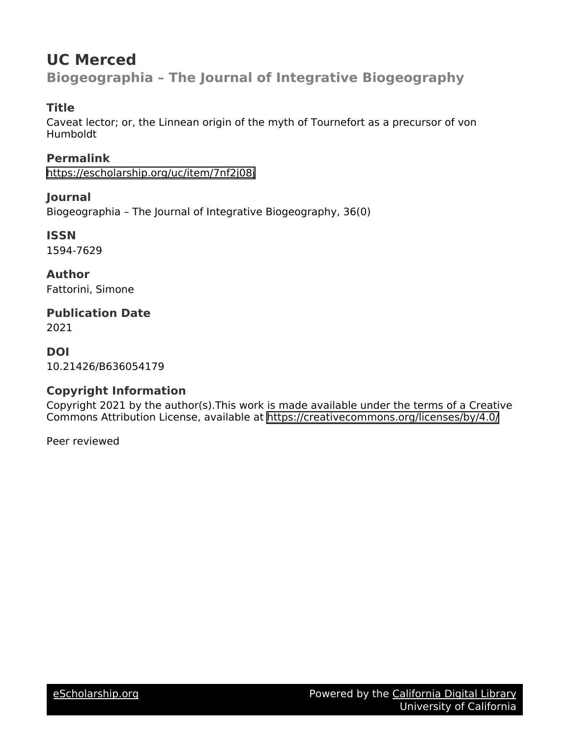# **UC Merced Biogeographia – The Journal of Integrative Biogeography**

### **Title**

Caveat lector; or, the Linnean origin of the myth of Tournefort as a precursor of von Humboldt

**Permalink** <https://escholarship.org/uc/item/7nf2j08j>

**Journal** Biogeographia – The Journal of Integrative Biogeography, 36(0)

**ISSN** 1594-7629

**Author** Fattorini, Simone

**Publication Date** 2021

**DOI** 10.21426/B636054179

## **Copyright Information**

Copyright 2021 by the author(s).This work is made available under the terms of a Creative Commons Attribution License, available at <https://creativecommons.org/licenses/by/4.0/>

Peer reviewed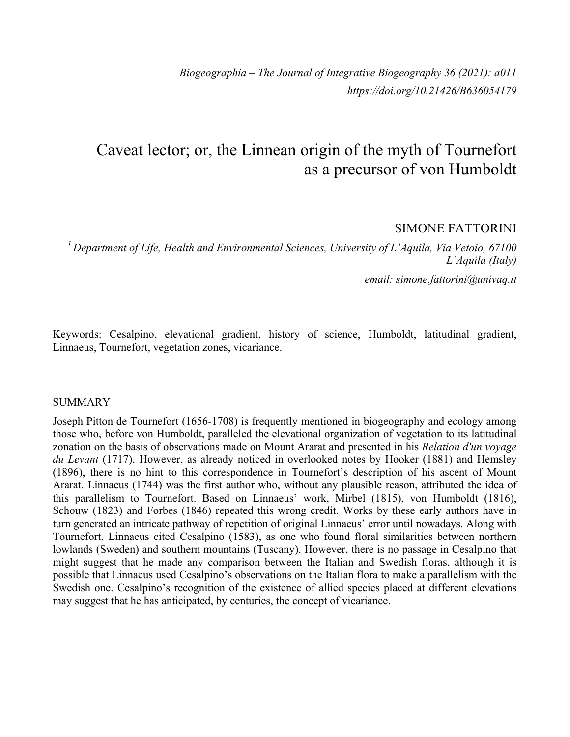*Biogeographia – The Journal of Integrative Biogeography 36 (2021): a011 https://doi.org/10.21426/B636054179*

## Caveat lector; or, the Linnean origin of the myth of Tournefort as a precursor of von Humboldt

#### SIMONE FATTORINI

*<sup>1</sup> Department of Life, Health and Environmental Sciences, University of L'Aquila, Via Vetoio, 67100 L'Aquila (Italy) email: simone.fattorini@univaq.it*

Keywords: Cesalpino, elevational gradient, history of science, Humboldt, latitudinal gradient, Linnaeus, Tournefort, vegetation zones, vicariance.

#### SUMMARY

Joseph Pitton de Tournefort (1656-1708) is frequently mentioned in biogeography and ecology among those who, before von Humboldt, paralleled the elevational organization of vegetation to its latitudinal zonation on the basis of observations made on Mount Ararat and presented in his *Relation d'un voyage du Levant* (1717). However, as already noticed in overlooked notes by Hooker (1881) and Hemsley (1896), there is no hint to this correspondence in Tournefort's description of his ascent of Mount Ararat. Linnaeus (1744) was the first author who, without any plausible reason, attributed the idea of this parallelism to Tournefort. Based on Linnaeus' work, Mirbel (1815), von Humboldt (1816), Schouw (1823) and Forbes (1846) repeated this wrong credit. Works by these early authors have in turn generated an intricate pathway of repetition of original Linnaeus' error until nowadays. Along with Tournefort, Linnaeus cited Cesalpino (1583), as one who found floral similarities between northern lowlands (Sweden) and southern mountains (Tuscany). However, there is no passage in Cesalpino that might suggest that he made any comparison between the Italian and Swedish floras, although it is possible that Linnaeus used Cesalpino's observations on the Italian flora to make a parallelism with the Swedish one. Cesalpino's recognition of the existence of allied species placed at different elevations may suggest that he has anticipated, by centuries, the concept of vicariance.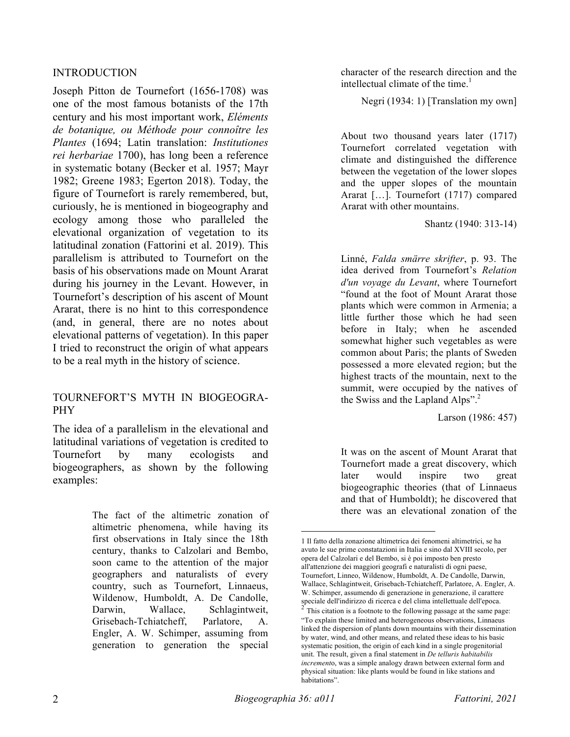#### INTRODUCTION

Joseph Pitton de Tournefort (1656-1708) was one of the most famous botanists of the 17th century and his most important work, *Eléments de botanique, ou Méthode pour connoître les Plantes* (1694; Latin translation: *Institutiones rei herbariae* 1700), has long been a reference in systematic botany (Becker et al. 1957; Mayr 1982; Greene 1983; Egerton 2018). Today, the figure of Tournefort is rarely remembered, but, curiously, he is mentioned in biogeography and ecology among those who paralleled the elevational organization of vegetation to its latitudinal zonation (Fattorini et al. 2019). This parallelism is attributed to Tournefort on the basis of his observations made on Mount Ararat during his journey in the Levant. However, in Tournefort's description of his ascent of Mount Ararat, there is no hint to this correspondence (and, in general, there are no notes about elevational patterns of vegetation). In this paper I tried to reconstruct the origin of what appears to be a real myth in the history of science.

#### TOURNEFORT'S MYTH IN BIOGEOGRA-PHY

The idea of a parallelism in the elevational and latitudinal variations of vegetation is credited to Tournefort by many ecologists and biogeographers, as shown by the following examples:

> The fact of the altimetric zonation of altimetric phenomena, while having its first observations in Italy since the 18th century, thanks to Calzolari and Bembo, soon came to the attention of the major geographers and naturalists of every country, such as Tournefort, Linnaeus, Wildenow, Humboldt, A. De Candolle, Darwin, Wallace, Schlagintweit, Grisebach-Tchiatcheff, Parlatore, A. Engler, A. W. Schimper, assuming from generation to generation the special

character of the research direction and the intellectual climate of the time. $<sup>1</sup>$ </sup>

Negri (1934: 1) [Translation my own]

About two thousand years later (1717) Tournefort correlated vegetation with climate and distinguished the difference between the vegetation of the lower slopes and the upper slopes of the mountain Ararat […]. Tournefort (1717) compared Ararat with other mountains.

Shantz (1940: 313-14)

Linné, *Falda smärre skrifter*, p. 93. The idea derived from Tournefort's *Relation d'un voyage du Levant*, where Tournefort "found at the foot of Mount Ararat those plants which were common in Armenia; a little further those which he had seen before in Italy; when he ascended somewhat higher such vegetables as were common about Paris; the plants of Sweden possessed a more elevated region; but the highest tracts of the mountain, next to the summit, were occupied by the natives of the Swiss and the Lapland Alps".<sup>2</sup>

Larson (1986: 457)

It was on the ascent of Mount Ararat that Tournefort made a great discovery, which later would inspire two great biogeographic theories (that of Linnaeus and that of Humboldt); he discovered that there was an elevational zonation of the

 <sup>1</sup> Il fatto della zonazione altimetrica dei fenomeni altimetrici, se ha avuto le sue prime constatazioni in Italia e sino dal XVIII secolo, per opera del Calzolari e del Bembo, si è poi imposto ben presto all'attenzione dei maggiori geografi e naturalisti di ogni paese, Tournefort, Linneo, Wildenow, Humboldt, A. De Candolle, Darwin, Wallace, Schlagintweit, Grisebach-Tchiatcheff, Parlatore, A. Engler, A. W. Schimper, assumendo di generazione in generazione, il carattere speciale dell'indirizzo di ricerca e del clima intellettuale dell'epoca.<br><sup>2</sup> This citation is a footnote to the following passage at the same page: "To explain these limited and heterogeneous observations, Linnaeus linked the dispersion of plants down mountains with their dissemination by water, wind, and other means, and related these ideas to his basic systematic position, the origin of each kind in a single progenitorial unit. The result, given a final statement in *De telluris habitabilis increment*o, was a simple analogy drawn between external form and physical situation: like plants would be found in like stations and habitations".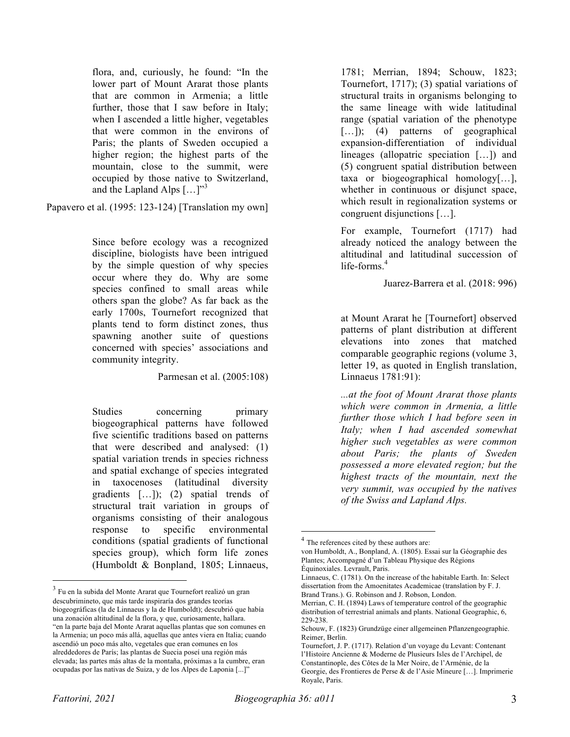flora, and, curiously, he found: "In the lower part of Mount Ararat those plants that are common in Armenia; a little further, those that I saw before in Italy; when I ascended a little higher, vegetables that were common in the environs of Paris; the plants of Sweden occupied a higher region; the highest parts of the mountain, close to the summit, were occupied by those native to Switzerland, and the Lapland Alps  $[\dots]^{3}$ 

Papavero et al. (1995: 123-124) [Translation my own]

Since before ecology was a recognized discipline, biologists have been intrigued by the simple question of why species occur where they do. Why are some species confined to small areas while others span the globe? As far back as the early 1700s, Tournefort recognized that plants tend to form distinct zones, thus spawning another suite of questions concerned with species' associations and community integrity.

Parmesan et al. (2005:108)

Studies concerning primary biogeographical patterns have followed five scientific traditions based on patterns that were described and analysed: (1) spatial variation trends in species richness and spatial exchange of species integrated in taxocenoses (latitudinal diversity gradients […]); (2) spatial trends of structural trait variation in groups of organisms consisting of their analogous response to specific environmental conditions (spatial gradients of functional species group), which form life zones (Humboldt & Bonpland, 1805; Linnaeus,

1781; Merrian, 1894; Schouw, 1823; Tournefort, 1717); (3) spatial variations of structural traits in organisms belonging to the same lineage with wide latitudinal range (spatial variation of the phenotype […]); (4) patterns of geographical expansion-differentiation of individual lineages (allopatric speciation […]) and (5) congruent spatial distribution between taxa or biogeographical homology[…], whether in continuous or disjunct space, which result in regionalization systems or congruent disjunctions […].

For example, Tournefort (1717) had already noticed the analogy between the altitudinal and latitudinal succession of life-forms.<sup>4</sup>

Juarez-Barrera et al. (2018: 996)

at Mount Ararat he [Tournefort] observed patterns of plant distribution at different elevations into zones that matched comparable geographic regions (volume 3, letter 19, as quoted in English translation, Linnaeus 1781:91):

*...at the foot of Mount Ararat those plants which were common in Armenia, a little further those which I had before seen in Italy; when I had ascended somewhat higher such vegetables as were common about Paris; the plants of Sweden possessed a more elevated region; but the highest tracts of the mountain, next the very summit, was occupied by the natives of the Swiss and Lapland Alps.*

Linnaeus, C. (1781). On the increase of the habitable Earth. In: Select dissertation from the Amoenitates Academicae (translation by F. J. Brand Trans.). G. Robinson and J. Robson, London.

 <sup>3</sup> Fu en la subida del Monte Ararat que Tournefort realizó un gran descubrimineto, que más tarde inspiraría dos grandes teorías biogeográficas (la de Linnaeus y la de Humboldt); descubrió que había una zonación altitudinal de la flora, y que, curiosamente, hallara. "en la parte baja del Monte Ararat aquellas plantas que son comunes en la Armenia; un poco más allá, aquellas que antes viera en Italia; cuando ascendió un poco más alto, vegetales que eran comunes en los alreddedores de París; las plantas de Suecia poseí una región más elevada; las partes más altas de la montaña, próximas a la cumbre, eran ocupadas por las nativas de Suiza, y de los Alpes de Laponia [...]"

<sup>&</sup>lt;sup>4</sup> The references cited by these authors are:

von Humboldt, A., Bonpland, A. (1805). Essai sur la Géographie des Plantes; Accompagné d'un Tableau Physique des Régions Équinoxiales. Levrault, Paris.

Merrian, C. H. (1894) Laws of temperature control of the geographic distribution of terrestrial animals and plants. National Geographic, 6, 229-238.

Schouw, F. (1823) Grundzüge einer allgemeinen Pflanzengeographie. Reimer, Berlin.

Tournefort, J. P. (1717). Relation d'un voyage du Levant: Contenant l'Histoire Ancienne & Moderne de Plusieurs Isles de l'Archipel, de Constantinople, des Côtes de la Mer Noire, de l'Arménie, de la Georgie, des Frontieres de Perse & de l'Asie Mineure […]. Imprimerie Royale, Paris.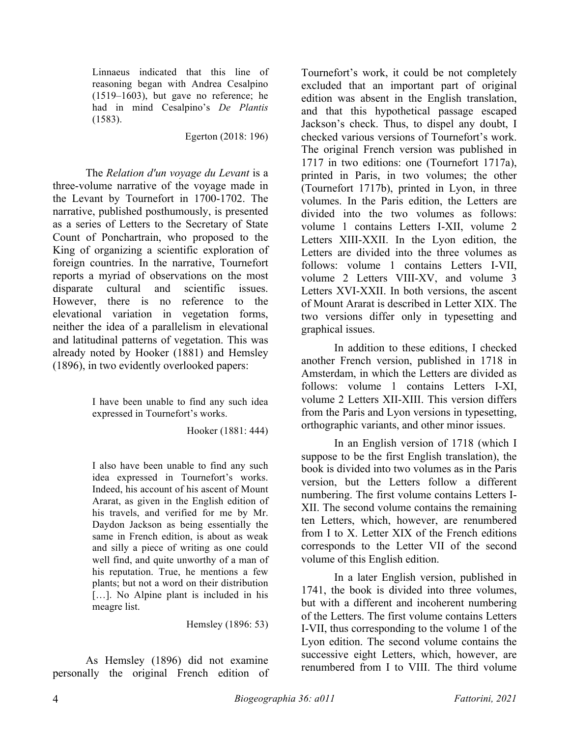Linnaeus indicated that this line of reasoning began with Andrea Cesalpino (1519–1603), but gave no reference; he had in mind Cesalpino's *De Plantis* (1583).

Egerton (2018: 196)

The *Relation d'un voyage du Levant* is a three-volume narrative of the voyage made in the Levant by Tournefort in 1700-1702. The narrative, published posthumously, is presented as a series of Letters to the Secretary of State Count of Ponchartrain, who proposed to the King of organizing a scientific exploration of foreign countries. In the narrative, Tournefort reports a myriad of observations on the most disparate cultural and scientific issues. However, there is no reference to the elevational variation in vegetation forms, neither the idea of a parallelism in elevational and latitudinal patterns of vegetation. This was already noted by Hooker (1881) and Hemsley (1896), in two evidently overlooked papers:

> I have been unable to find any such idea expressed in Tournefort's works.

> > Hooker (1881: 444)

I also have been unable to find any such idea expressed in Tournefort's works. Indeed, his account of his ascent of Mount Ararat, as given in the English edition of his travels, and verified for me by Mr. Daydon Jackson as being essentially the same in French edition, is about as weak and silly a piece of writing as one could well find, and quite unworthy of a man of his reputation. True, he mentions a few plants; but not a word on their distribution […]. No Alpine plant is included in his meagre list.

Hemsley (1896: 53)

As Hemsley (1896) did not examine personally the original French edition of

Tournefort's work, it could be not completely excluded that an important part of original edition was absent in the English translation, and that this hypothetical passage escaped Jackson's check. Thus, to dispel any doubt, I checked various versions of Tournefort's work. The original French version was published in 1717 in two editions: one (Tournefort 1717a), printed in Paris, in two volumes; the other (Tournefort 1717b), printed in Lyon, in three volumes. In the Paris edition, the Letters are divided into the two volumes as follows: volume 1 contains Letters I-XII, volume 2 Letters XIII-XXII. In the Lyon edition, the Letters are divided into the three volumes as follows: volume 1 contains Letters I-VII, volume 2 Letters VIII-XV, and volume 3 Letters XVI-XXII. In both versions, the ascent of Mount Ararat is described in Letter XIX. The two versions differ only in typesetting and graphical issues.

In addition to these editions, I checked another French version, published in 1718 in Amsterdam, in which the Letters are divided as follows: volume 1 contains Letters I-XI, volume 2 Letters XII-XIII. This version differs from the Paris and Lyon versions in typesetting, orthographic variants, and other minor issues.

In an English version of 1718 (which I suppose to be the first English translation), the book is divided into two volumes as in the Paris version, but the Letters follow a different numbering. The first volume contains Letters I-XII. The second volume contains the remaining ten Letters, which, however, are renumbered from I to X. Letter XIX of the French editions corresponds to the Letter VII of the second volume of this English edition.

In a later English version, published in 1741, the book is divided into three volumes, but with a different and incoherent numbering of the Letters. The first volume contains Letters I-VII, thus corresponding to the volume 1 of the Lyon edition. The second volume contains the successive eight Letters, which, however, are renumbered from I to VIII. The third volume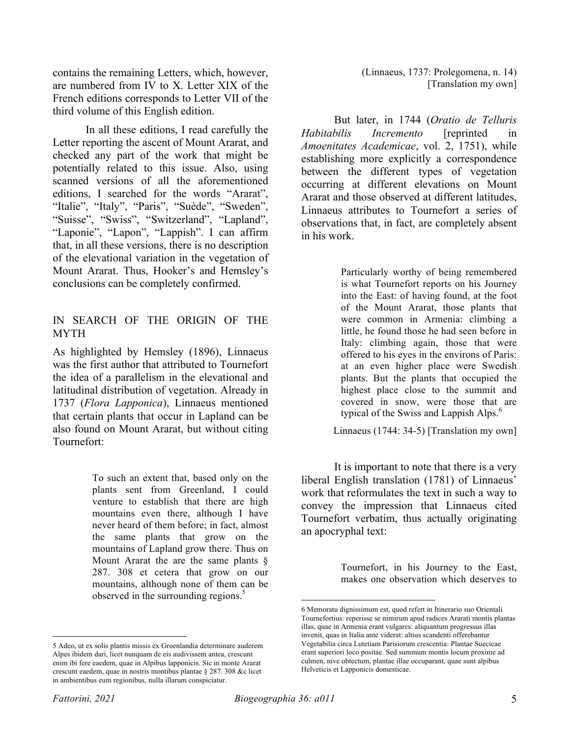contains the remaining Letters, which, however, are numbered from IV to X. Letter XIX of the French editions corresponds to Letter VII of the third volume of this English edition.

In all these editions, I read carefully the Letter reporting the ascent of Mount Ararat, and checked any part of the work that might be potentially related to this issue. Also, using scanned versions of all the aforementioned editions, I searched for the words "Ararat", "Italie", "Italy", "Paris", "Suède", "Sweden", "Suisse", "Swiss", "Switzerland", "Lapland", "Laponie", "Lapon", "Lappish". I can affirm that, in all these versions, there is no description of the elevational variation in the vegetation of Mount Ararat. Thus, Hooker's and Hemsley's conclusions can be completely confirmed.

#### IN SEARCH OF THE ORIGIN OF THE MYTH

As highlighted by Hemsley (1896), Linnaeus was the first author that attributed to Tournefort the idea of a parallelism in the elevational and latitudinal distribution of vegetation. Already in 1737 (*Flora Lapponica*), Linnaeus mentioned that certain plants that occur in Lapland can be also found on Mount Ararat, but without citing Tournefort:

> To such an extent that, based only on the plants sent from Greenland, I could venture to establish that there are high mountains even there, although I have never heard of them before; in fact, almost the same plants that grow on the mountains of Lapland grow there. Thus on Mount Ararat the are the same plants § 287. 308 et cetera that grow on our mountains, although none of them can be observed in the surrounding regions.<sup>5</sup>

(Linnaeus, 1737: Prolegomena, n. 14) [Translation my own]

But later, in 1744 (*Oratio de Telluris Habitabilis Incremento* [reprinted in *Amoenitates Academicae*, vol. 2, 1751), while establishing more explicitly a correspondence between the different types of vegetation occurring at different elevations on Mount Ararat and those observed at different latitudes, Linnaeus attributes to Tournefort a series of observations that, in fact, are completely absent in his work.

> Particularly worthy of being remembered is what Tournefort reports on his Journey into the East: of having found, at the foot of the Mount Ararat, those plants that were common in Armenia: climbing a little, he found those he had seen before in Italy: climbing again, those that were offered to his eyes in the environs of Paris: at an even higher place were Swedish plants. But the plants that occupied the highest place close to the summit and covered in snow, were those that are typical of the Swiss and Lappish Alps.<sup>6</sup>

Linnaeus (1744: 34-5) [Translation my own]

It is important to note that there is a very liberal English translation (1781) of Linnaeus' work that reformulates the text in such a way to convey the impression that Linnaeus cited Tournefort verbatim, thus actually originating an apocryphal text:

> Tournefort, in his Journey to the East, makes one observation which deserves to

 <sup>5</sup> Adeo, ut ex solis plantis missis ex Groenlandia determinare auderem Alpes ibidem dari, licet nunquam de eis audivissem antea, crescunt enim ibi fere eaedem, quae in Alpibus lapponicis. Sic in monte Ararat crescunt eaedem, quae in nostris montibus plantae § 287. 308 &c licet in ambientibus eum regionibus, nulla illarum conspiciatur.

 <sup>6</sup> Memoratu dignissimum est, quod refert in Itinerario suo Orientali Tournefortius: reperisse se nimirum apud radices Ararati montis plantas illas, quae in Armenia erant vulgares: aliquantum progressus illas invenit, quas in Italia ante viderat: altius scandenti offerebantur Vegetabilia circa Lutetiam Parisiorum crescentia: Plantae Suecicae erant superiori loco positae. Sed summum montis locum proxime ad culmen, nive obtectum, plantae illae occuparant, quae sunt alpibus Helveticis et Lapponicis domesticae.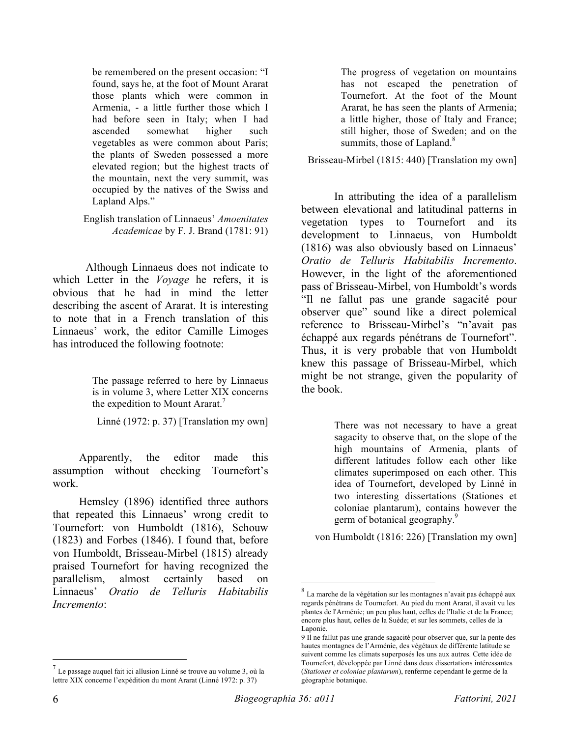be remembered on the present occasion: "I found, says he, at the foot of Mount Ararat those plants which were common in Armenia, - a little further those which I had before seen in Italy; when I had ascended somewhat higher such vegetables as were common about Paris; the plants of Sweden possessed a more elevated region; but the highest tracts of the mountain, next the very summit, was occupied by the natives of the Swiss and Lapland Alps."

English translation of Linnaeus' *Amoenitates Academicae* by F. J. Brand (1781: 91)

Although Linnaeus does not indicate to which Letter in the *Voyage* he refers, it is obvious that he had in mind the letter describing the ascent of Ararat. It is interesting to note that in a French translation of this Linnaeus' work, the editor Camille Limoges has introduced the following footnote:

> The passage referred to here by Linnaeus is in volume 3, where Letter XIX concerns the expedition to Mount Ararat.<sup>7</sup>

Linné (1972: p. 37) [Translation my own]

Apparently, the editor made this assumption without checking Tournefort's work.

Hemsley (1896) identified three authors that repeated this Linnaeus' wrong credit to Tournefort: von Humboldt (1816), Schouw (1823) and Forbes (1846). I found that, before von Humboldt, Brisseau-Mirbel (1815) already praised Tournefort for having recognized the parallelism, almost certainly based on Linnaeus' *Oratio de Telluris Habitabilis Incremento*:

The progress of vegetation on mountains has not escaped the penetration of Tournefort. At the foot of the Mount Ararat, he has seen the plants of Armenia; a little higher, those of Italy and France; still higher, those of Sweden; and on the summits, those of Lapland.<sup>8</sup>

Brisseau-Mirbel (1815: 440) [Translation my own]

In attributing the idea of a parallelism between elevational and latitudinal patterns in vegetation types to Tournefort and its development to Linnaeus, von Humboldt (1816) was also obviously based on Linnaeus' *Oratio de Telluris Habitabilis Incremento*. However, in the light of the aforementioned pass of Brisseau-Mirbel, von Humboldt's words "Il ne fallut pas une grande sagacité pour observer que" sound like a direct polemical reference to Brisseau-Mirbel's "n'avait pas échappé aux regards pénétrans de Tournefort". Thus, it is very probable that von Humboldt knew this passage of Brisseau-Mirbel, which might be not strange, given the popularity of the book.

> There was not necessary to have a great sagacity to observe that, on the slope of the high mountains of Armenia, plants of different latitudes follow each other like climates superimposed on each other. This idea of Tournefort, developed by Linné in two interesting dissertations (Stationes et coloniae plantarum), contains however the germ of botanical geography.<sup>9</sup>

von Humboldt (1816: 226) [Translation my own]

 $<sup>7</sup>$  Le passage auquel fait ici allusion Linné se trouve au volume 3, où la</sup> lettre XIX concerne l'expédition du mont Ararat (Linné 1972: p. 37)

 $^8$  La marche de la végétation sur les montagnes n'avait pas échappé aux regards pénétrans de Tournefort. Au pied du mont Ararat, il avait vu les plantes de l'Arménie; un peu plus haut, celles de l'Italie et de la France; encore plus haut, celles de la Suède; et sur les sommets, celles de la Laponie.

<sup>9</sup> Il ne fallut pas une grande sagacité pour observer que, sur la pente des hautes montagnes de l'Arménie, des végétaux de différente latitude se suivent comme les climats superposés les uns aux autres. Cette idée de Tournefort, développée par Linné dans deux dissertations intéressantes (*Stationes et coloniae plantarum*), renferme cependant le germe de la géographie botanique.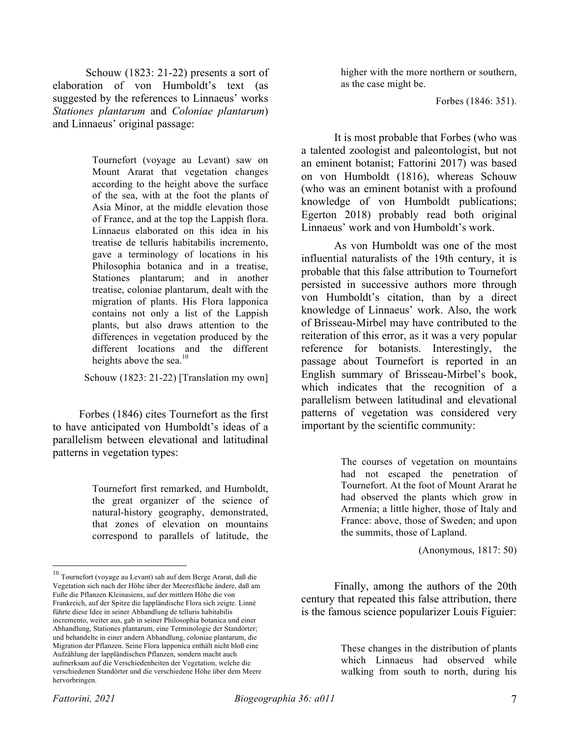Schouw (1823: 21-22) presents a sort of elaboration of von Humboldt's text (as suggested by the references to Linnaeus' works *Stationes plantarum* and *Coloniae plantarum*) and Linnaeus' original passage:

> Tournefort (voyage au Levant) saw on Mount Ararat that vegetation changes according to the height above the surface of the sea, with at the foot the plants of Asia Minor, at the middle elevation those of France, and at the top the Lappish flora. Linnaeus elaborated on this idea in his treatise de telluris habitabilis incremento, gave a terminology of locations in his Philosophia botanica and in a treatise, Stationes plantarum; and in another treatise, coloniae plantarum, dealt with the migration of plants. His Flora lapponica contains not only a list of the Lappish plants, but also draws attention to the differences in vegetation produced by the different locations and the different heights above the sea. $^{10}$

Schouw (1823: 21-22) [Translation my own]

Forbes (1846) cites Tournefort as the first to have anticipated von Humboldt's ideas of a parallelism between elevational and latitudinal patterns in vegetation types:

> Tournefort first remarked, and Humboldt, the great organizer of the science of natural-history geography, demonstrated, that zones of elevation on mountains correspond to parallels of latitude, the

higher with the more northern or southern, as the case might be.

Forbes (1846: 351).

It is most probable that Forbes (who was a talented zoologist and paleontologist, but not an eminent botanist; Fattorini 2017) was based on von Humboldt (1816), whereas Schouw (who was an eminent botanist with a profound knowledge of von Humboldt publications; Egerton 2018) probably read both original Linnaeus' work and von Humboldt's work.

As von Humboldt was one of the most influential naturalists of the 19th century, it is probable that this false attribution to Tournefort persisted in successive authors more through von Humboldt's citation, than by a direct knowledge of Linnaeus' work. Also, the work of Brisseau-Mirbel may have contributed to the reiteration of this error, as it was a very popular reference for botanists. Interestingly, the passage about Tournefort is reported in an English summary of Brisseau-Mirbel's book, which indicates that the recognition of a parallelism between latitudinal and elevational patterns of vegetation was considered very important by the scientific community:

> The courses of vegetation on mountains had not escaped the penetration of Tournefort. At the foot of Mount Ararat he had observed the plants which grow in Armenia; a little higher, those of Italy and France: above, those of Sweden; and upon the summits, those of Lapland.

> > (Anonymous, 1817: 50)

Finally, among the authors of the 20th century that repeated this false attribution, there is the famous science popularizer Louis Figuier:

> These changes in the distribution of plants which Linnaeus had observed while walking from south to north, during his

 $^{10}$  Tournefort (voyage au Levant) sah auf dem Berge Ararat, daß die Vegetation sich nach der Höhe über der Meeresfläche ändere, daß am Fuße die Pflanzen Kleinasiens, auf der mittlern Höhe die von Frankreich, auf der Spitze die lappländische Flora sich zeigte. Linné führte diese Idee in seiner Abhandlung de telluris habitabilis incremento, weiter aus, gab in seiner Philosophia botanica und einer Abhandlung, Stationes plantarum, eine Terminologie der Standörter; und behandelte in einer andern Abhandlung, coloniae plantarum, die Migration der Pflanzen. Seine Flora lapponica enthält nicht bloß eine Aufzählung der lappländischen Pflanzen, sondern macht auch aufmerksam auf die Verschiedenheiten der Vegetation, welche die verschiedenen Standörter und die verschiedene Höhe über dem Meere hervorbringen.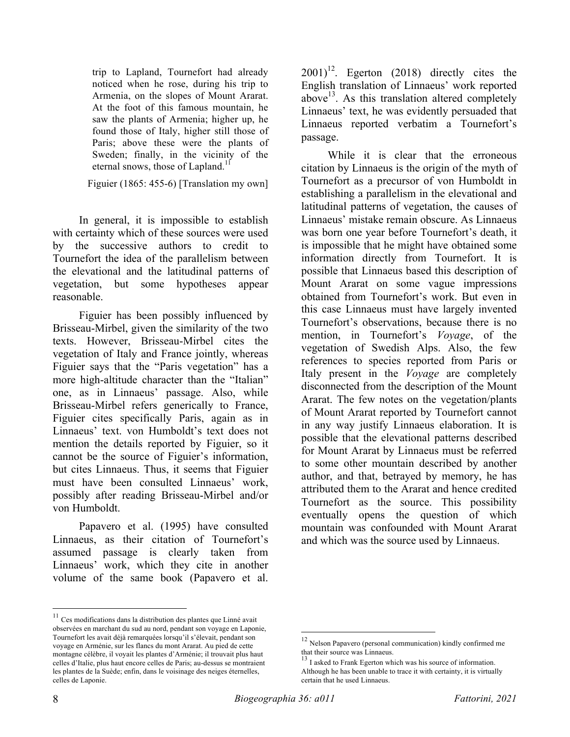trip to Lapland, Tournefort had already noticed when he rose, during his trip to Armenia, on the slopes of Mount Ararat. At the foot of this famous mountain, he saw the plants of Armenia; higher up, he found those of Italy, higher still those of Paris; above these were the plants of Sweden; finally, in the vicinity of the eternal snows, those of Lapland.<sup>11</sup>

Figuier (1865: 455-6) [Translation my own]

In general, it is impossible to establish with certainty which of these sources were used by the successive authors to credit to Tournefort the idea of the parallelism between the elevational and the latitudinal patterns of vegetation, but some hypotheses appear reasonable.

Figuier has been possibly influenced by Brisseau-Mirbel, given the similarity of the two texts. However, Brisseau-Mirbel cites the vegetation of Italy and France jointly, whereas Figuier says that the "Paris vegetation" has a more high-altitude character than the "Italian" one, as in Linnaeus' passage. Also, while Brisseau-Mirbel refers generically to France, Figuier cites specifically Paris, again as in Linnaeus' text. von Humboldt's text does not mention the details reported by Figuier, so it cannot be the source of Figuier's information, but cites Linnaeus. Thus, it seems that Figuier must have been consulted Linnaeus' work, possibly after reading Brisseau-Mirbel and/or von Humboldt.

Papavero et al. (1995) have consulted Linnaeus, as their citation of Tournefort's assumed passage is clearly taken from Linnaeus' work, which they cite in another volume of the same book (Papavero et al.

 $11$  Ces modifications dans la distribution des plantes que Linné avait observées en marchant du sud au nord, pendant son voyage en Laponie, Tournefort les avait déjà remarquées lorsqu'il s'élevait, pendant son voyage en Arménie, sur les flancs du mont Ararat. Au pied de cette montagne célèbre, il voyait les plantes d'Arménie; il trouvait plus haut celles d'Italie, plus haut encore celles de Paris; au-dessus se montraient les plantes de la Suède; enfin, dans le voisinage des neiges éternelles,

 $2001$ <sup>12</sup>. Egerton (2018) directly cites the English translation of Linnaeus' work reported above<sup>13</sup>. As this translation altered completely Linnaeus' text, he was evidently persuaded that Linnaeus reported verbatim a Tournefort's passage.

While it is clear that the erroneous citation by Linnaeus is the origin of the myth of Tournefort as a precursor of von Humboldt in establishing a parallelism in the elevational and latitudinal patterns of vegetation, the causes of Linnaeus' mistake remain obscure. As Linnaeus was born one year before Tournefort's death, it is impossible that he might have obtained some information directly from Tournefort. It is possible that Linnaeus based this description of Mount Ararat on some vague impressions obtained from Tournefort's work. But even in this case Linnaeus must have largely invented Tournefort's observations, because there is no mention, in Tournefort's *Voyage*, of the vegetation of Swedish Alps. Also, the few references to species reported from Paris or Italy present in the *Voyage* are completely disconnected from the description of the Mount Ararat. The few notes on the vegetation/plants of Mount Ararat reported by Tournefort cannot in any way justify Linnaeus elaboration. It is possible that the elevational patterns described for Mount Ararat by Linnaeus must be referred to some other mountain described by another author, and that, betrayed by memory, he has attributed them to the Ararat and hence credited Tournefort as the source. This possibility eventually opens the question of which mountain was confounded with Mount Ararat and which was the source used by Linnaeus.

celles de Laponie.

 <sup>12</sup> Nelson Papavero (personal communication) kindly confirmed me that their source was Linnaeus.

<sup>&</sup>lt;sup>13</sup> I asked to Frank Egerton which was his source of information. Although he has been unable to trace it with certainty, it is virtually certain that he used Linnaeus.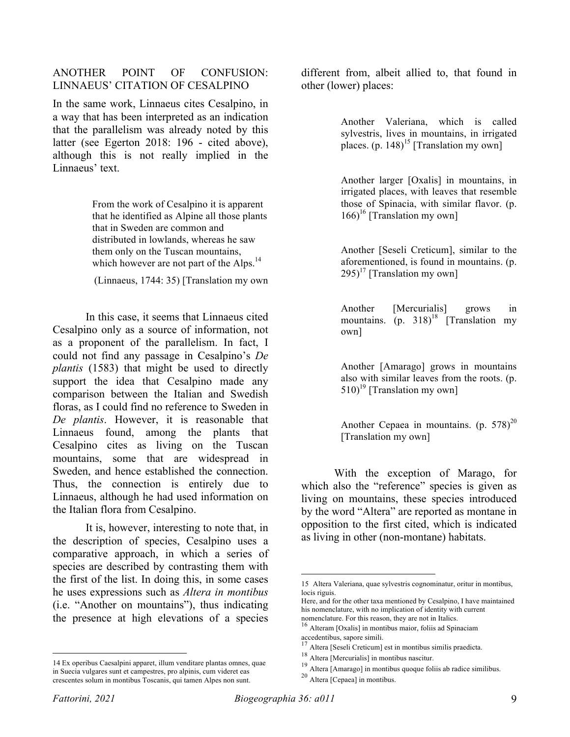#### ANOTHER POINT OF CONFUSION: LINNAEUS' CITATION OF CESALPINO

In the same work, Linnaeus cites Cesalpino, in a way that has been interpreted as an indication that the parallelism was already noted by this latter (see Egerton 2018: 196 - cited above), although this is not really implied in the Linnaeus' text.

> From the work of Cesalpino it is apparent that he identified as Alpine all those plants that in Sweden are common and distributed in lowlands, whereas he saw them only on the Tuscan mountains, which however are not part of the Alps.<sup>14</sup>

(Linnaeus, 1744: 35) [Translation my own

In this case, it seems that Linnaeus cited Cesalpino only as a source of information, not as a proponent of the parallelism. In fact, I could not find any passage in Cesalpino's *De plantis* (1583) that might be used to directly support the idea that Cesalpino made any comparison between the Italian and Swedish floras, as I could find no reference to Sweden in *De plantis*. However, it is reasonable that Linnaeus found, among the plants that Cesalpino cites as living on the Tuscan mountains, some that are widespread in Sweden, and hence established the connection. Thus, the connection is entirely due to Linnaeus, although he had used information on the Italian flora from Cesalpino.

It is, however, interesting to note that, in the description of species, Cesalpino uses a comparative approach, in which a series of species are described by contrasting them with the first of the list. In doing this, in some cases he uses expressions such as *Altera in montibus* (i.e. "Another on mountains"), thus indicating the presence at high elevations of a species

different from, albeit allied to, that found in other (lower) places:

> Another Valeriana, which is called sylvestris, lives in mountains, in irrigated places.  $(p. 148)^{15}$  [Translation my own]

> Another larger [Oxalis] in mountains, in irrigated places, with leaves that resemble those of Spinacia, with similar flavor. (p.  $166$ <sup>16</sup> [Translation my own]

> Another [Seseli Creticum], similar to the aforementioned, is found in mountains. (p.  $295$ <sup>17</sup> [Translation my own]

> Another [Mercurialis] grows in mountains. (p.  $318$ )<sup>18</sup> [Translation my own]

> Another [Amarago] grows in mountains also with similar leaves from the roots. (p.  $510$ <sup>19</sup> [Translation my own]

> Another Cepaea in mountains.  $(p. 578)^{20}$ [Translation my own]

With the exception of Marago, for which also the "reference" species is given as living on mountains, these species introduced by the word "Altera" are reported as montane in opposition to the first cited, which is indicated as living in other (non-montane) habitats.

 <sup>14</sup> Ex operibus Caesalpini apparet, illum venditare plantas omnes, quae in Suecia vulgares sunt et campestres, pro alpinis, cum videret eas crescentes solum in montibus Toscanis, qui tamen Alpes non sunt.

 <sup>15</sup> Altera Valeriana, quae sylvestris cognominatur, oritur in montibus, locis riguis.

Here, and for the other taxa mentioned by Cesalpino, I have maintained his nomenclature, with no implication of identity with current

nomenclature. For this reason, they are not in Italics.<br><sup>16</sup> Alteram [Oxalis] in montibus maior, foliis ad Spinaciam<br>accedentibus, sapore simili.

Altera [Seseli Creticum] est in montibus similis praedicta.

<sup>18</sup> Altera [Mercurialis] in montibus nascitur.

<sup>19</sup> Altera [Amarago] in montibus quoque foliis ab radice similibus.

<sup>20</sup> Altera [Cepaea] in montibus.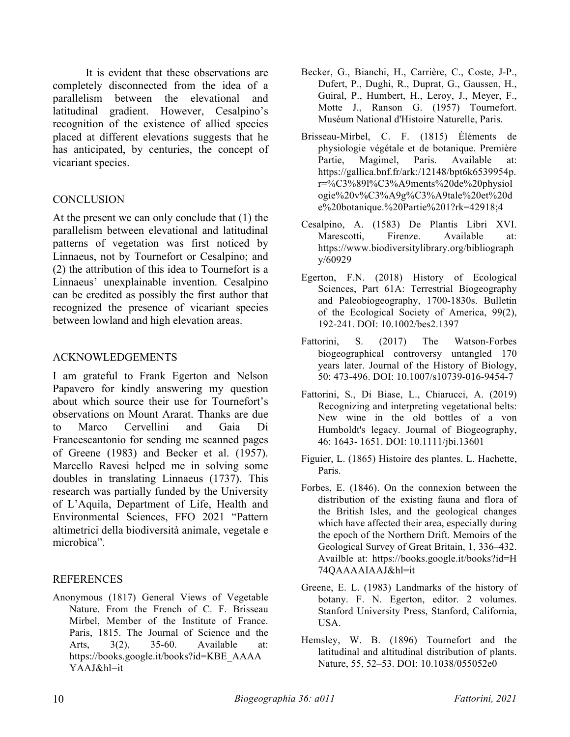It is evident that these observations are completely disconnected from the idea of a parallelism between the elevational and latitudinal gradient. However, Cesalpino's recognition of the existence of allied species placed at different elevations suggests that he has anticipated, by centuries, the concept of vicariant species.

#### **CONCLUSION**

At the present we can only conclude that (1) the parallelism between elevational and latitudinal patterns of vegetation was first noticed by Linnaeus, not by Tournefort or Cesalpino; and (2) the attribution of this idea to Tournefort is a Linnaeus' unexplainable invention. Cesalpino can be credited as possibly the first author that recognized the presence of vicariant species between lowland and high elevation areas.

#### ACKNOWLEDGEMENTS

I am grateful to Frank Egerton and Nelson Papavero for kindly answering my question about which source their use for Tournefort's observations on Mount Ararat. Thanks are due to Marco Cervellini and Gaia Di Francescantonio for sending me scanned pages of Greene (1983) and Becker et al. (1957). Marcello Ravesi helped me in solving some doubles in translating Linnaeus (1737). This research was partially funded by the University of L'Aquila, Department of Life, Health and Environmental Sciences, FFO 2021 "Pattern altimetrici della biodiversità animale, vegetale e microbica".

### REFERENCES

Anonymous (1817) General Views of Vegetable Nature. From the French of C. F. Brisseau Mirbel, Member of the Institute of France. Paris, 1815. The Journal of Science and the Arts, 3(2), 35-60. Available at: https://books.google.it/books?id=KBE\_AAAA YAAJ&hl=it

- Becker, G., Bianchi, H., Carrière, C., Coste, J-P., Dufert, P., Dughi, R., Duprat, G., Gaussen, H., Guiral, P., Humbert, H., Leroy, J., Meyer, F., Motte J., Ranson G. (1957) Tournefort. Muséum National d'Histoire Naturelle, Paris.
- Brisseau-Mirbel, C. F. (1815) Éléments de physiologie végétale et de botanique. Première Partie, Magimel, Paris. Available at: https://gallica.bnf.fr/ark:/12148/bpt6k6539954p. r=%C3%89l%C3%A9ments%20de%20physiol ogie%20v%C3%A9g%C3%A9tale%20et%20d e%20botanique.%20Partie%201?rk=42918;4
- Cesalpino, A. (1583) De Plantis Libri XVI. Marescotti, Firenze. Available at: https://www.biodiversitylibrary.org/bibliograph y/60929
- Egerton, F.N. (2018) History of Ecological Sciences, Part 61A: Terrestrial Biogeography and Paleobiogeography, 1700-1830s. Bulletin of the Ecological Society of America, 99(2), 192-241. DOI: 10.1002/bes2.1397
- Fattorini, S. (2017) The Watson-Forbes biogeographical controversy untangled 170 years later. Journal of the History of Biology, 50: 473-496. DOI: 10.1007/s10739-016-9454-7
- Fattorini, S., Di Biase, L., Chiarucci, A. (2019) Recognizing and interpreting vegetational belts: New wine in the old bottles of a von Humboldt's legacy. Journal of Biogeography, 46: 1643- 1651. DOI: 10.1111/jbi.13601
- Figuier, L. (1865) Histoire des plantes. L. Hachette, Paris.
- Forbes, E. (1846). On the connexion between the distribution of the existing fauna and flora of the British Isles, and the geological changes which have affected their area, especially during the epoch of the Northern Drift. Memoirs of the Geological Survey of Great Britain, 1, 336–432. Availble at: https://books.google.it/books?id=H 74QAAAAIAAJ&hl=it
- Greene, E. L. (1983) Landmarks of the history of botany. F. N. Egerton, editor. 2 volumes. Stanford University Press, Stanford, California, USA.
- Hemsley, W. B. (1896) Tournefort and the latitudinal and altitudinal distribution of plants. Nature, 55, 52–53. DOI: 10.1038/055052e0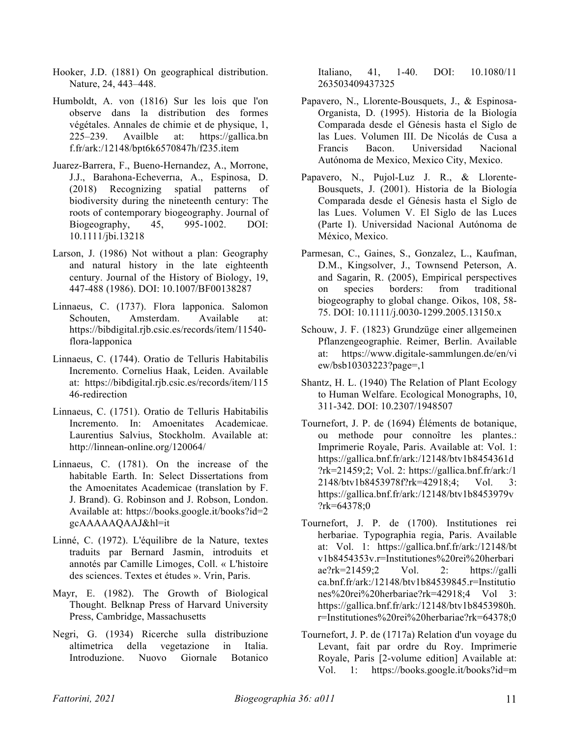- Hooker, J.D. (1881) On geographical distribution. Nature, 24, 443–448.
- Humboldt, A. von (1816) Sur les lois que l'on observe dans la distribution des formes végétales. Annales de chimie et de physique, 1, 225–239. Availble at: https://gallica.bn f.fr/ark:/12148/bpt6k6570847h/f235.item
- Juarez-Barrera, F., Bueno-Hernandez, A., Morrone, J.J., Barahona-Echeverrıa, A., Espinosa, D. (2018) Recognizing spatial patterns of biodiversity during the nineteenth century: The roots of contemporary biogeography. Journal of Biogeography, 45, 995-1002. DOI: 10.1111/jbi.13218
- Larson, J. (1986) Not without a plan: Geography and natural history in the late eighteenth century. Journal of the History of Biology, 19, 447-488 (1986). DOI: 10.1007/BF00138287
- Linnaeus, C. (1737). Flora lapponica. Salomon Schouten, Amsterdam. Available at: https://bibdigital.rjb.csic.es/records/item/11540 flora-lapponica
- Linnaeus, C. (1744). Oratio de Telluris Habitabilis Incremento. Cornelius Haak, Leiden. Available at: https://bibdigital.rjb.csic.es/records/item/115 46-redirection
- Linnaeus, C. (1751). Oratio de Telluris Habitabilis Incremento. In: Amoenitates Academicae. Laurentius Salvius, Stockholm. Available at: http://linnean-online.org/120064/
- Linnaeus, C. (1781). On the increase of the habitable Earth. In: Select Dissertations from the Amoenitates Academicae (translation by F. J. Brand). G. Robinson and J. Robson, London. Available at: https://books.google.it/books?id=2 gcAAAAAQAAJ&hl=it
- Linné, C. (1972). L'équilibre de la Nature, textes traduits par Bernard Jasmin, introduits et annotés par Camille Limoges, Coll. « L'histoire des sciences. Textes et études ». Vrin, Paris.
- Mayr, E. (1982). The Growth of Biological Thought. Belknap Press of Harvard University Press, Cambridge, Massachusetts
- Negri, G. (1934) Ricerche sulla distribuzione altimetrica della vegetazione in Italia. Introduzione. Nuovo Giornale Botanico

Italiano, 41, 1-40. DOI: 10.1080/11 263503409437325

- Papavero, N., Llorente-Bousquets, J., & Espinosa-Organista, D. (1995). Historia de la Biología Comparada desde el Génesis hasta el Siglo de las Lues. Volumen III. De Nicolás de Cusa a Francis Bacon. Universidad Nacional Autónoma de Mexico, Mexico City, Mexico.
- Papavero, N., Pujol-Luz J. R., & Llorente-Bousquets, J. (2001). Historia de la Biología Comparada desde el Génesis hasta el Siglo de las Lues. Volumen V. El Siglo de las Luces (Parte I). Universidad Nacional Autónoma de México, Mexico.
- Parmesan, C., Gaines, S., Gonzalez, L., Kaufman, D.M., Kingsolver, J., Townsend Peterson, A. and Sagarin, R. (2005), Empirical perspectives on species borders: from traditional biogeography to global change. Oikos, 108, 58- 75. DOI: 10.1111/j.0030-1299.2005.13150.x
- Schouw, J. F. (1823) Grundzüge einer allgemeinen Pflanzengeographie. Reimer, Berlin. Available at: https://www.digitale-sammlungen.de/en/vi ew/bsb10303223?page=,1
- Shantz, H. L. (1940) The Relation of Plant Ecology to Human Welfare. Ecological Monographs, 10, 311-342. DOI: 10.2307/1948507
- Tournefort, J. P. de (1694) Éléments de botanique, ou methode pour connoître les plantes.: Imprimerie Royale, Paris. Available at: Vol. 1: https://gallica.bnf.fr/ark:/12148/btv1b8454361d ?rk=21459;2; Vol. 2: https://gallica.bnf.fr/ark:/1 2148/btv1b8453978f?rk=42918;4; Vol. 3: https://gallica.bnf.fr/ark:/12148/btv1b8453979v ?rk=64378;0
- Tournefort, J. P. de (1700). Institutiones rei herbariae. Typographia regia, Paris. Available at: Vol. 1: https://gallica.bnf.fr/ark:/12148/bt v1b8454353v.r=Institutiones%20rei%20herbari ae?rk=21459;2 Vol. 2: https://galli ca.bnf.fr/ark:/12148/btv1b84539845.r=Institutio nes%20rei%20herbariae?rk=42918;4 Vol 3: https://gallica.bnf.fr/ark:/12148/btv1b8453980h. r=Institutiones%20rei%20herbariae?rk=64378;0
- Tournefort, J. P. de (1717a) Relation d'un voyage du Levant, fait par ordre du Roy. Imprimerie Royale, Paris [2-volume edition] Available at: Vol. 1: https://books.google.it/books?id=m